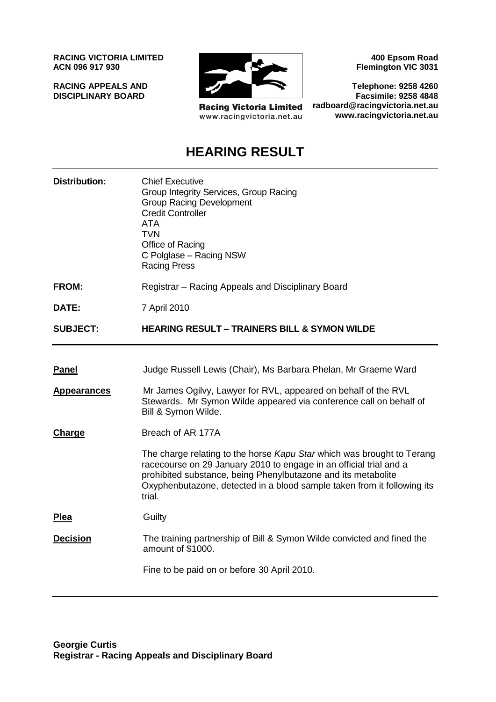**RACING VICTORIA LIMITED ACN 096 917 930**

**RACING APPEALS AND DISCIPLINARY BOARD**



**Racing Victoria Limited** www.racingvictoria.net.au

**400 Epsom Road Flemington VIC 3031**

**Telephone: 9258 4260 Facsimile: 9258 4848 radboard@racingvictoria.net.au www.racingvictoria.net.au**

# **HEARING RESULT**

| <b>Distribution:</b> | <b>Chief Executive</b><br>Group Integrity Services, Group Racing<br><b>Group Racing Development</b><br><b>Credit Controller</b><br><b>ATA</b><br><b>TVN</b><br>Office of Racing<br>C Polglase - Racing NSW<br><b>Racing Press</b>                                                                  |
|----------------------|----------------------------------------------------------------------------------------------------------------------------------------------------------------------------------------------------------------------------------------------------------------------------------------------------|
| <b>FROM:</b>         | Registrar - Racing Appeals and Disciplinary Board                                                                                                                                                                                                                                                  |
| DATE:                | 7 April 2010                                                                                                                                                                                                                                                                                       |
| <b>SUBJECT:</b>      | <b>HEARING RESULT - TRAINERS BILL &amp; SYMON WILDE</b>                                                                                                                                                                                                                                            |
| <b>Panel</b>         | Judge Russell Lewis (Chair), Ms Barbara Phelan, Mr Graeme Ward                                                                                                                                                                                                                                     |
| <b>Appearances</b>   | Mr James Ogilvy, Lawyer for RVL, appeared on behalf of the RVL<br>Stewards. Mr Symon Wilde appeared via conference call on behalf of<br>Bill & Symon Wilde.                                                                                                                                        |
| <b>Charge</b>        | Breach of AR 177A                                                                                                                                                                                                                                                                                  |
|                      | The charge relating to the horse Kapu Star which was brought to Terang<br>racecourse on 29 January 2010 to engage in an official trial and a<br>prohibited substance, being Phenylbutazone and its metabolite<br>Oxyphenbutazone, detected in a blood sample taken from it following its<br>trial. |
| Plea                 | Guilty                                                                                                                                                                                                                                                                                             |
| <b>Decision</b>      | The training partnership of Bill & Symon Wilde convicted and fined the<br>amount of \$1000.                                                                                                                                                                                                        |
|                      | Fine to be paid on or before 30 April 2010.                                                                                                                                                                                                                                                        |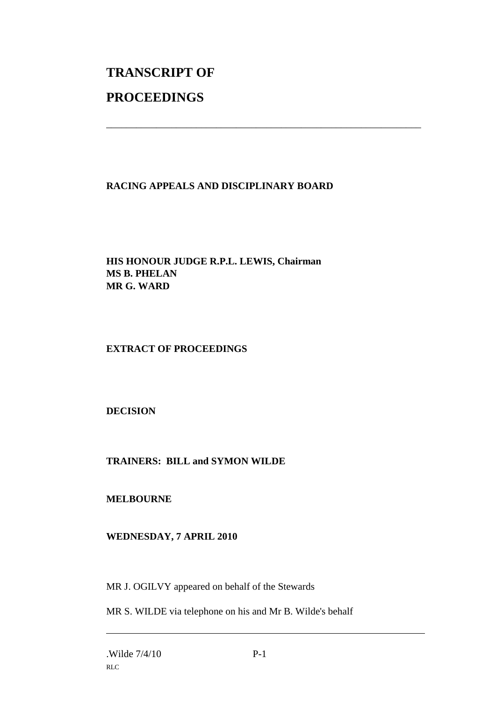# **TRANSCRIPT OF PROCEEDINGS**

## **RACING APPEALS AND DISCIPLINARY BOARD**

\_\_\_\_\_\_\_\_\_\_\_\_\_\_\_\_\_\_\_\_\_\_\_\_\_\_\_\_\_\_\_\_\_\_\_\_\_\_\_\_\_\_\_\_\_\_\_\_\_\_\_\_\_\_\_\_\_\_\_\_\_\_\_

## **HIS HONOUR JUDGE R.P.L. LEWIS, Chairman MS B. PHELAN MR G. WARD**

# **EXTRACT OF PROCEEDINGS**

## **DECISION**

## **TRAINERS: BILL and SYMON WILDE**

**MELBOURNE**

# **WEDNESDAY, 7 APRIL 2010**

MR J. OGILVY appeared on behalf of the Stewards

MR S. WILDE via telephone on his and Mr B. Wilde's behalf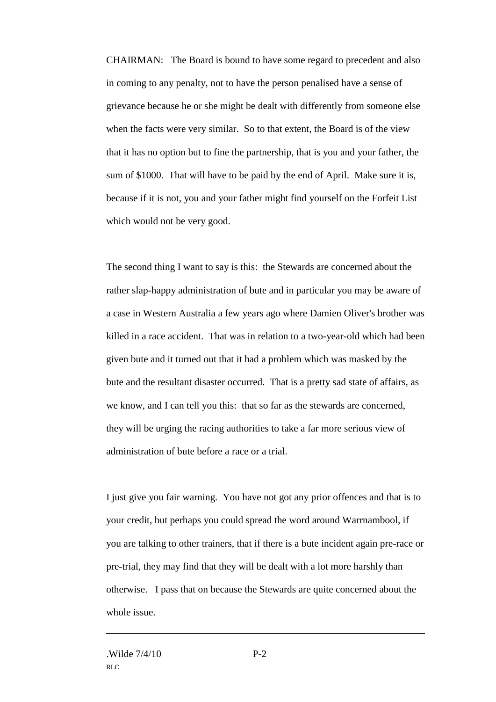CHAIRMAN: The Board is bound to have some regard to precedent and also in coming to any penalty, not to have the person penalised have a sense of grievance because he or she might be dealt with differently from someone else when the facts were very similar. So to that extent, the Board is of the view that it has no option but to fine the partnership, that is you and your father, the sum of \$1000. That will have to be paid by the end of April. Make sure it is, because if it is not, you and your father might find yourself on the Forfeit List which would not be very good.

The second thing I want to say is this: the Stewards are concerned about the rather slap-happy administration of bute and in particular you may be aware of a case in Western Australia a few years ago where Damien Oliver's brother was killed in a race accident. That was in relation to a two-year-old which had been given bute and it turned out that it had a problem which was masked by the bute and the resultant disaster occurred. That is a pretty sad state of affairs, as we know, and I can tell you this: that so far as the stewards are concerned, they will be urging the racing authorities to take a far more serious view of administration of bute before a race or a trial.

I just give you fair warning. You have not got any prior offences and that is to your credit, but perhaps you could spread the word around Warrnambool, if you are talking to other trainers, that if there is a bute incident again pre-race or pre-trial, they may find that they will be dealt with a lot more harshly than otherwise. I pass that on because the Stewards are quite concerned about the whole issue.